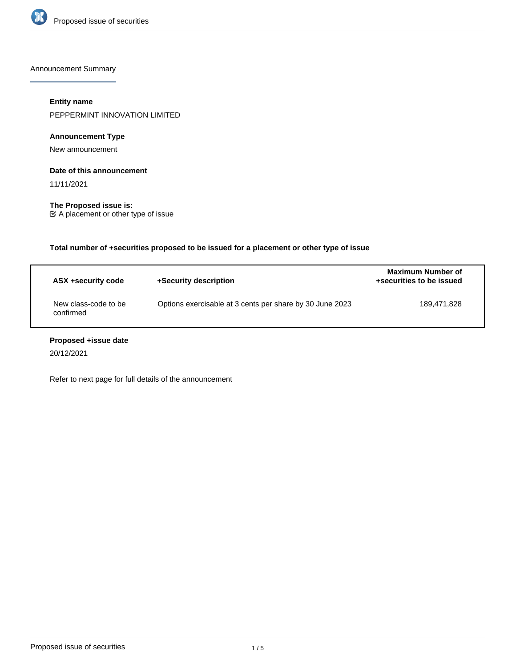

Announcement Summary

# **Entity name**

PEPPERMINT INNOVATION LIMITED

# **Announcement Type**

New announcement

### **Date of this announcement**

11/11/2021

**The Proposed issue is:** A placement or other type of issue

**Total number of +securities proposed to be issued for a placement or other type of issue**

| ASX +security code                | +Security description                                    | Maximum Number of<br>+securities to be issued |
|-----------------------------------|----------------------------------------------------------|-----------------------------------------------|
| New class-code to be<br>confirmed | Options exercisable at 3 cents per share by 30 June 2023 | 189.471.828                                   |

# **Proposed +issue date**

20/12/2021

Refer to next page for full details of the announcement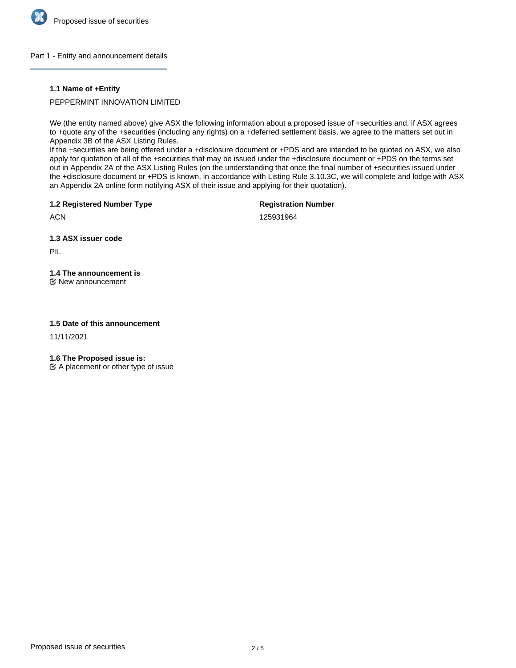

### Part 1 - Entity and announcement details

### **1.1 Name of +Entity**

## PEPPERMINT INNOVATION LIMITED

We (the entity named above) give ASX the following information about a proposed issue of +securities and, if ASX agrees to +quote any of the +securities (including any rights) on a +deferred settlement basis, we agree to the matters set out in Appendix 3B of the ASX Listing Rules.

If the +securities are being offered under a +disclosure document or +PDS and are intended to be quoted on ASX, we also apply for quotation of all of the +securities that may be issued under the +disclosure document or +PDS on the terms set out in Appendix 2A of the ASX Listing Rules (on the understanding that once the final number of +securities issued under the +disclosure document or +PDS is known, in accordance with Listing Rule 3.10.3C, we will complete and lodge with ASX an Appendix 2A online form notifying ASX of their issue and applying for their quotation).

**1.2 Registered Number Type**

**Registration Number**

**ACN** 

125931964

**1.3 ASX issuer code**

PIL

# **1.4 The announcement is**

New announcement

## **1.5 Date of this announcement**

11/11/2021

**1.6 The Proposed issue is:**

 $\mathfrak{C}$  A placement or other type of issue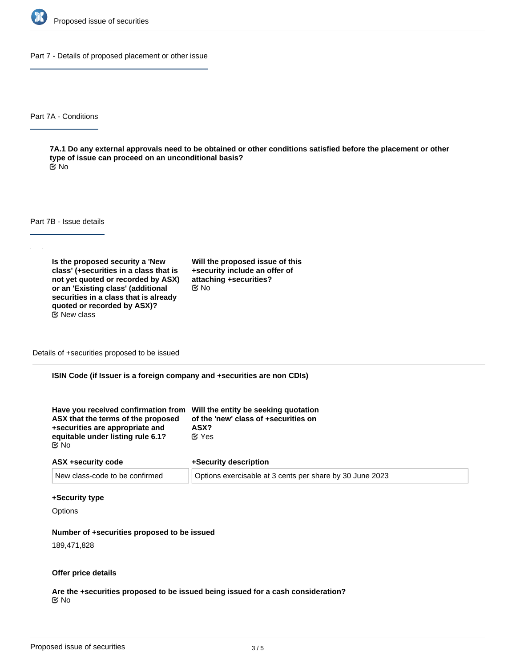

Part 7 - Details of proposed placement or other issue

Part 7A - Conditions

**7A.1 Do any external approvals need to be obtained or other conditions satisfied before the placement or other type of issue can proceed on an unconditional basis?** No

Part 7B - Issue details

**Is the proposed security a 'New class' (+securities in a class that is not yet quoted or recorded by ASX) or an 'Existing class' (additional securities in a class that is already quoted or recorded by ASX)?**  $E$  New class

**Will the proposed issue of this +security include an offer of attaching +securities?** No

Details of +securities proposed to be issued

**ISIN Code (if Issuer is a foreign company and +securities are non CDIs)**

| Have you received confirmation from Will the entity be seeking quotation<br>ASX that the terms of the proposed<br>+securities are appropriate and | of the 'new' class of +securities on<br>ASX? |
|---------------------------------------------------------------------------------------------------------------------------------------------------|----------------------------------------------|
|                                                                                                                                                   |                                              |
| equitable under listing rule 6.1?                                                                                                                 | $\alpha$ Yes                                 |
| ় No                                                                                                                                              |                                              |

| ASX +security code             | +Security description                                    |  |
|--------------------------------|----------------------------------------------------------|--|
| New class-code to be confirmed | Options exercisable at 3 cents per share by 30 June 2023 |  |

#### **+Security type**

**Options** 

#### **Number of +securities proposed to be issued**

189,471,828

#### **Offer price details**

**Are the +securities proposed to be issued being issued for a cash consideration?** No

**Please describe the consideration being provided for the +securities**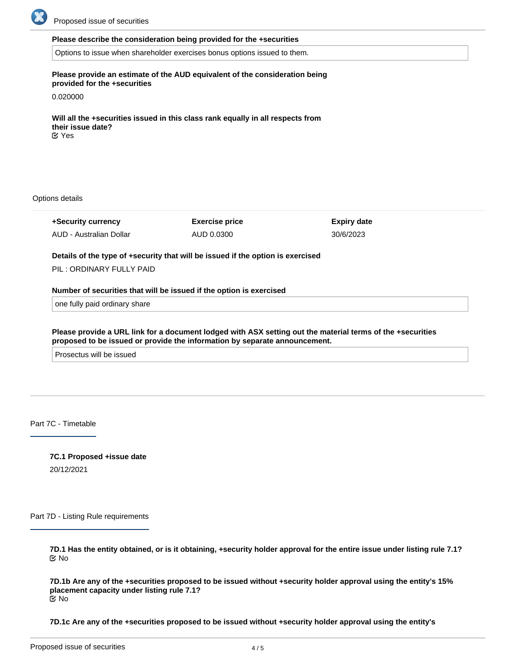

#### **Please describe the consideration being provided for the +securities**

Options to issue when shareholder exercises bonus options issued to them.

## **Please provide an estimate of the AUD equivalent of the consideration being provided for the +securities**

0.020000

**Will all the +securities issued in this class rank equally in all respects from their issue date?** Yes

Options details

**+Security currency** AUD - Australian Dollar **Exercise price** AUD 0.0300 **Expiry date** 30/6/2023

**Details of the type of +security that will be issued if the option is exercised**

PIL : ORDINARY FULLY PAID

#### **Number of securities that will be issued if the option is exercised**

one fully paid ordinary share

**Please provide a URL link for a document lodged with ASX setting out the material terms of the +securities proposed to be issued or provide the information by separate announcement.**

Prosectus will be issued

Part 7C - Timetable

**7C.1 Proposed +issue date** 20/12/2021

Part 7D - Listing Rule requirements

**7D.1 Has the entity obtained, or is it obtaining, +security holder approval for the entire issue under listing rule 7.1?** No

**7D.1b Are any of the +securities proposed to be issued without +security holder approval using the entity's 15% placement capacity under listing rule 7.1?** No

**7D.1c Are any of the +securities proposed to be issued without +security holder approval using the entity's**

**additional 10% placement capacity under listing rule 7.1A (if applicable)?**